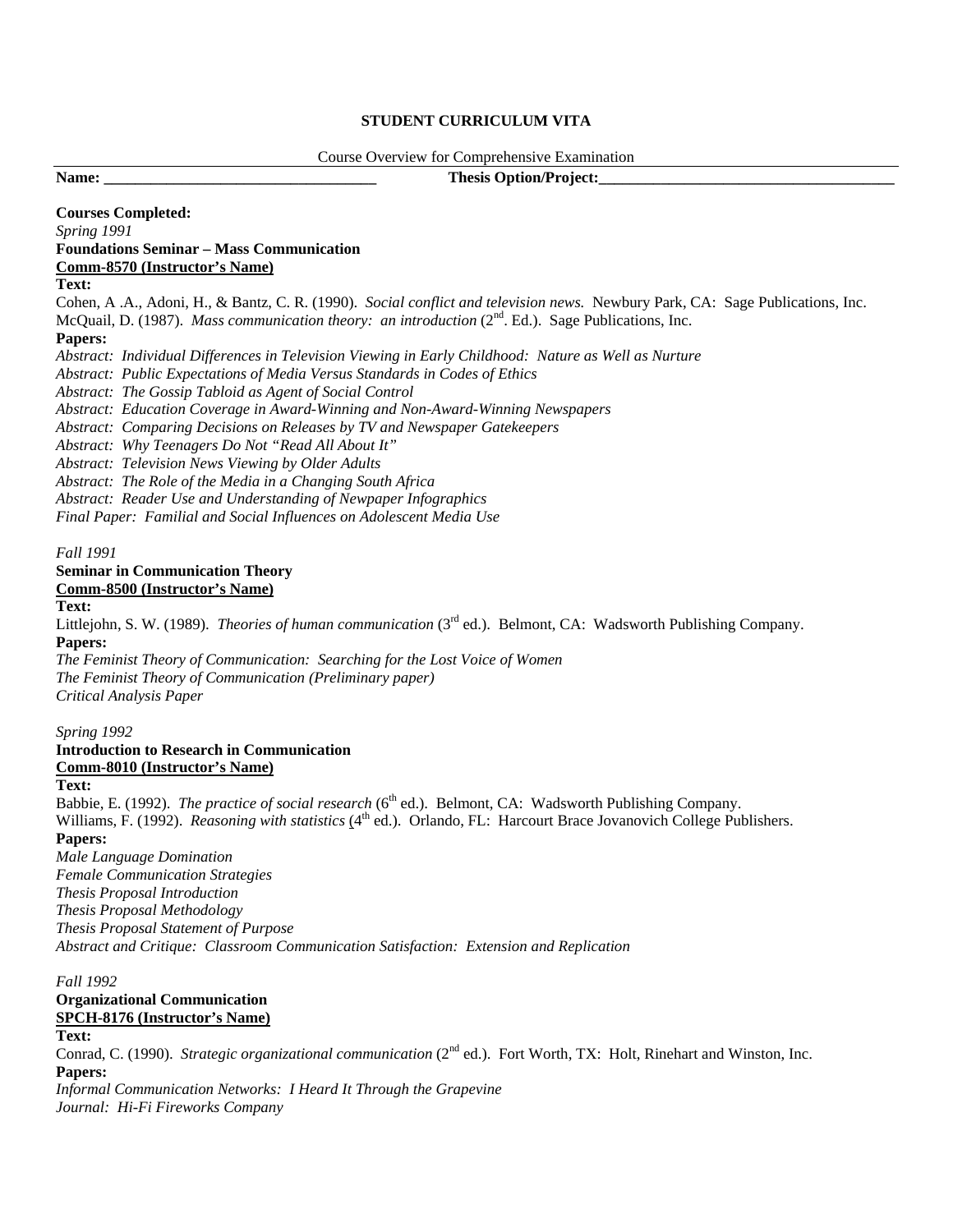## **STUDENT CURRICULUM VITA**

Course Overview for Comprehensive Examination

Name: **Name: Name: Name: Name: Name: Name: Name: Name: Name: Name: Name: Name: Name: Name: Name: Name: Name: Name: Name: Name: Name: Name: Name: Name: N** 

**Courses Completed:**  *Spring 1991*  **Foundations Seminar – Mass Communication Comm-8570 (Instructor's Name) Text:**  Cohen, A .A., Adoni, H., & Bantz, C. R. (1990). *Social conflict and television news.* Newbury Park, CA: Sage Publications, Inc.

## McQuail, D. (1987). *Mass communication theory: an introduction* (2nd. Ed.).Sage Publications, Inc. **Papers:**

*Abstract: Individual Differences in Television Viewing in Early Childhood: Nature as Well as Nurture* 

*Abstract: Public Expectations of Media Versus Standards in Codes of Ethics* 

*Abstract: The Gossip Tabloid as Agent of Social Control* 

*Abstract: Education Coverage in Award-Winning and Non-Award-Winning Newspapers* 

*Abstract: Comparing Decisions on Releases by TV and Newspaper Gatekeepers* 

*Abstract: Why Teenagers Do Not "Read All About It"* 

*Abstract: Television News Viewing by Older Adults* 

*Abstract: The Role of the Media in a Changing South Africa* 

*Abstract: Reader Use and Understanding of Newpaper Infographics* 

*Final Paper: Familial and Social Influences on Adolescent Media Use* 

## *Fall 1991*

## **Seminar in Communication Theory**

**Comm-8500 (Instructor's Name)**

**Text:** 

Littlejohn, S. W. (1989). *Theories of human communication* (3<sup>rd</sup> ed.). Belmont, CA: Wadsworth Publishing Company. **Papers:** 

*The Feminist Theory of Communication: Searching for the Lost Voice of Women The Feminist Theory of Communication (Preliminary paper) Critical Analysis Paper* 

# *Spring 1992*

# **Introduction to Research in Communication**

**Comm-8010 (Instructor's Name)**

**Text:**

Babbie, E. (1992). *The practice of social research* (6<sup>th</sup> ed.). Belmont, CA: Wadsworth Publishing Company. Williams, F. (1992). *Reasoning with statistics* (4<sup>th</sup> ed.). Orlando, FL: Harcourt Brace Jovanovich College Publishers. **Papers:**  *Male Language Domination Female Communication Strategies Thesis Proposal Introduction Thesis Proposal Methodology* 

*Thesis Proposal Statement of Purpose* 

*Abstract and Critique: Classroom Communication Satisfaction: Extension and Replication* 

#### *Fall 1992*

#### **Organizational Communication SPCH-8176 (Instructor's Name)**

**Text:**

Conrad, C. (1990). *Strategic organizational communication* (2<sup>nd</sup> ed.). Fort Worth, TX: Holt, Rinehart and Winston, Inc. **Papers:** 

*Informal Communication Networks: I Heard It Through the Grapevine Journal: Hi-Fi Fireworks Company*